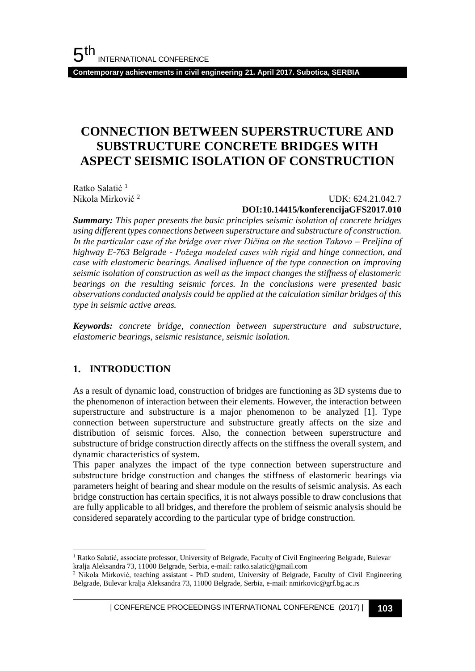**Contemporary achievements in civil engineering 21. April 2017. Subotica, SERBIA**

# **CONNECTION BETWEEN SUPERSTRUCTURE AND SUBSTRUCTURE CONCRETE BRIDGES WITH ASPECT SEISMIC ISOLATION OF CONSTRUCTION**

Ratko Salatić<sup>1</sup> Nikola Mirković <sup>2</sup>

#### UDK: 624.21.042.7 **DOI:10.14415/konferencijaGFS2017.010**

*Summary: This paper presents the basic principles seismic isolation of concrete bridges using different types connections between superstructure and substructure of construction. In the particular case of the bridge over river Dičina on the section Takovo – Preljina of highway E-763 Belgrade - Požega modeled cases with rigid and hinge connection, and case with elastomeric bearings. Analised influence of the type connection on improving seismic isolation of construction as well as the impact changes the stiffness of elastomeric bearings on the resulting seismic forces. In the conclusions were presented basic observations conducted analysis could be applied at the calculation similar bridges of this type in seismic active areas.*

*Keywords: concrete bridge, connection between superstructure and substructure, elastomeric bearings, seismic resistance, seismic isolation.*

### **1. INTRODUCTION**

l

As a result of dynamic load, construction of bridges are functioning as 3D systems due to the phenomenon of interaction between their elements. However, the interaction between superstructure and substructure is a major phenomenon to be analyzed [1]. Type connection between superstructure and substructure greatly affects on the size and distribution of seismic forces. Also, the connection between superstructure and substructure of bridge construction directly affects on the stiffness the overall system, and dynamic characteristics of system.

This paper analyzes the impact of the type connection between superstructure and substructure bridge construction and changes the stiffness of elastomeric bearings via parameters height of bearing and shear module on the results of seismic analysis. As each bridge construction has certain specifics, it is not always possible to draw conclusions that are fully applicable to all bridges, and therefore the problem of seismic analysis should be considered separately according to the particular type of bridge construction.

<sup>1</sup> Ratko Salatić, associate professor, University of Belgrade, Faculty of Civil Engineering Belgrade, Bulevar kralja Aleksandra 73, 11000 Belgrade, Serbia, e-mail: ratko.salatic@gmail.com

<sup>&</sup>lt;sup>2</sup> Nikola Mirković, teaching assistant - PhD student, University of Belgrade, Faculty of Civil Engineering Belgrade, Bulevar kralja Aleksandra 73, 11000 Belgrade, Serbia, e-mail: nmirkovic@grf.bg.ac.rs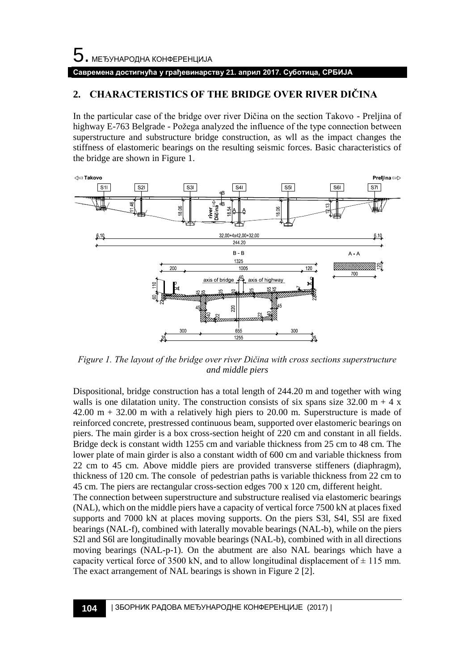### **Савремена достигнућа у грађевинарству 21. април 2017. Суботица, СРБИЈА**

### **2. CHARACTERISTICS OF THE BRIDGE OVER RIVER DIČINA**

In the particular case of the bridge over river Dičina on the section Takovo - Preljina of highway E-763 Belgrade - Požega analyzed the influence of the type connection between superstructure and substructure bridge construction, as wll as the impact changes the stiffness of elastomeric bearings on the resulting seismic forces. Basic characteristics of the bridge are shown in Figure 1.



*Figure 1. The layout of the bridge over river Dičina with cross sections superstructure and middle piers*

Dispositional, bridge construction has a total length of 244.20 m and together with wing walls is one dilatation unity. The construction consists of six spans size 32.00 m + 4 x 42.00 m + 32.00 m with a relatively high piers to 20.00 m. Superstructure is made of reinforced concrete, prestressed continuous beam, supported over elastomeric bearings on piers. The main girder is a box cross-section height of 220 cm and constant in all fields. Bridge deck is constant width 1255 cm and variable thickness from 25 cm to 48 cm. The lower plate of main girder is also a constant width of 600 cm and variable thickness from 22 cm to 45 cm. Above middle piers are provided transverse stiffeners (diaphragm), thickness of 120 cm. The console of pedestrian paths is variable thickness from 22 cm to 45 cm. The piers are rectangular cross-section edges 700 x 120 cm, different height. The connection between superstructure and substructure realised via elastomeric bearings (NAL), which on the middle piers have a capacity of vertical force 7500 kN at places fixed supports and 7000 kN at places moving supports. On the piers S3l, S4l, S5l are fixed bearings (NAL-f), combined with laterally movable bearings (NAL-b), while on the piers S2l and S6l are longitudinally movable bearings (NAL-b), combined with in all directions moving bearings (NAL-p-1). On the abutment are also NAL bearings which have a capacity vertical force of 3500 kN, and to allow longitudinal displacement of  $\pm$  115 mm. The exact arrangement of NAL bearings is shown in Figure 2 [2].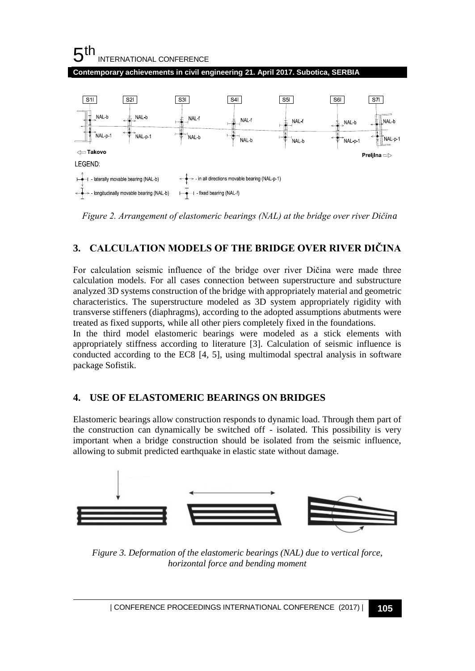

*Figure 2. Arrangement of elastomeric bearings (NAL) at the bridge over river Dičina*

# **3. CALCULATION MODELS OF THE BRIDGE OVER RIVER DIČINA**

For calculation seismic influence of the bridge over river Dičina were made three calculation models. For all cases connection between superstructure and substructure analyzed 3D systems construction of the bridge with appropriately material and geometric characteristics. The superstructure modeled as 3D system appropriately rigidity with transverse stiffeners (diaphragms), according to the adopted assumptions abutments were treated as fixed supports, while all other piers completely fixed in the foundations.

In the third model elastomeric bearings were modeled as a stick elements with appropriately stiffness according to literature [3]. Calculation of seismic influence is conducted according to the EC8 [4, 5], using multimodal spectral analysis in software package Sofistik.

# **4. USE OF ELASTOMERIC BEARINGS ON BRIDGES**

Elastomeric bearings allow construction responds to dynamic load. Through them part of the construction can dynamically be switched off - isolated. This possibility is very important when a bridge construction should be isolated from the seismic influence, allowing to submit predicted earthquake in elastic state without damage.



*Figure 3. Deformation of the elastomeric bearings (NAL) due to vertical force, horizontal force and bending moment*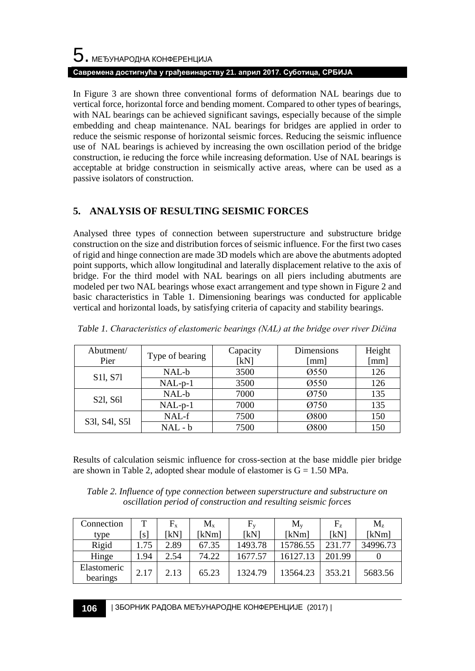# $5$ . међународна конференција **Савремена достигнућа у грађевинарству 21. април 2017. Суботица, СРБИЈА**

In Figure 3 are shown three conventional forms of deformation NAL bearings due to vertical force, horizontal force and bending moment. Compared to other types of bearings, with NAL bearings can be achieved significant savings, especially because of the simple embedding and cheap maintenance. NAL bearings for bridges are applied in order to reduce the seismic response of horizontal seismic forces. Reducing the seismic influence use of NAL bearings is achieved by increasing the own oscillation period of the bridge construction, ie reducing the force while increasing deformation. Use of NAL bearings is acceptable at bridge construction in seismically active areas, where can be used as a passive isolators of construction.

# **5. ANALYSIS OF RESULTING SEISMIC FORCES**

Analysed three types of connection between superstructure and substructure bridge construction on the size and distribution forces of seismic influence. For the first two cases of rigid and hinge connection are made 3D models which are above the abutments adopted point supports, which allow longitudinal and laterally displacement relative to the axis of bridge. For the third model with NAL bearings on all piers including abutments are modeled per two NAL bearings whose exact arrangement and type shown in Figure 2 and basic characteristics in Table 1. Dimensioning bearings was conducted for applicable vertical and horizontal loads, by satisfying criteria of capacity and stability bearings.

| Abutment/                         | Type of bearing | Capacity | Dimensions           | Height |
|-----------------------------------|-----------------|----------|----------------------|--------|
| Pier                              |                 | [kN]     | $\lceil$ mm $\rceil$ | [mm]   |
| S <sub>11</sub> , S <sub>71</sub> | NAL-b           | 3500     | Ø550                 | 126    |
|                                   | $NAL-p-1$       | 3500     | Ø550                 | 126    |
| S21, S61                          | NAL-b           | 7000     | Ø750                 | 135    |
|                                   | $NAL-p-1$       | 7000     | Ø750                 | 135    |
| S31, S41, S51                     | $NAL-f$         | 7500     | Ø800                 | 150    |
|                                   | $NAL - b$       | 7500     | Ø800                 | 150    |

*Table 1. Characteristics of elastomeric bearings (NAL) at the bridge over river Dičina*

Results of calculation seismic influence for cross-section at the base middle pier bridge are shown in Table 2, adopted shear module of elastomer is  $G = 1.50$  MPa.

*Table 2. Influence of type connection between superstructure and substructure on oscillation period of construction and resulting seismic forces*

| Connection              | T                 | $F_{x}$ | $M_{x}$ | $\rm F_{v}$ | $M_{v}$  | $F_{z}$ | $M_z$    |
|-------------------------|-------------------|---------|---------|-------------|----------|---------|----------|
| type                    | $\lceil s \rceil$ | [kN]    | [kNm]   | ſkNl        | ∣kNml    | ſkN     | [kNm]    |
| Rigid                   | 1.75              | 2.89    | 67.35   | 1493.78     | 15786.55 | 231.77  | 34996.73 |
| Hinge                   | 1.94              | 2.54    | 74.22   | 1677.57     | 16127.13 | 201.99  |          |
| Elastomeric<br>bearings | 2.17              | 2.13    | 65.23   | 1324.79     | 13564.23 | 353.21  | 5683.56  |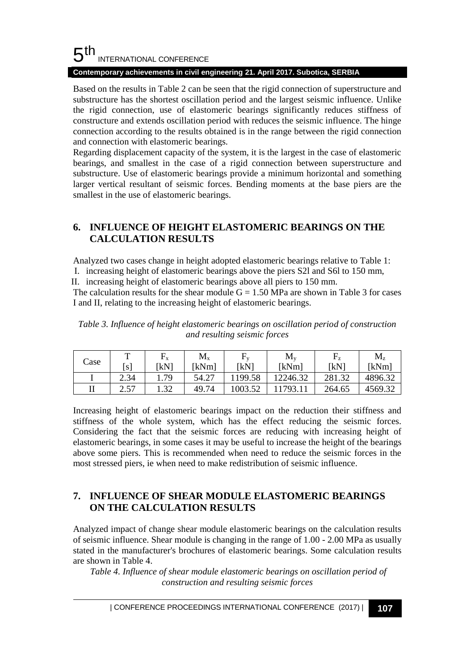#### 5 th INTERNATIONAL CONFERENCE

### **Contemporary achievements in civil engineering 21. April 2017. Subotica, SERBIA**

Based on the results in Table 2 can be seen that the rigid connection of superstructure and substructure has the shortest oscillation period and the largest seismic influence. Unlike the rigid connection, use of elastomeric bearings significantly reduces stiffness of constructure and extends oscillation period with reduces the seismic influence. The hinge connection according to the results obtained is in the range between the rigid connection and connection with elastomeric bearings.

Regarding displacement capacity of the system, it is the largest in the case of elastomeric bearings, and smallest in the case of a rigid connection between superstructure and substructure. Use of elastomeric bearings provide a minimum horizontal and something larger vertical resultant of seismic forces. Bending moments at the base piers are the smallest in the use of elastomeric bearings.

## **6. INFLUENCE OF HEIGHT ELASTOMERIC BEARINGS ON THE CALCULATION RESULTS**

Analyzed two cases change in height adopted elastomeric bearings relative to Table 1:

I. increasing height of elastomeric bearings above the piers S2l and S6l to 150 mm,

II. increasing height of elastomeric bearings above all piers to 150 mm.

The calculation results for the shear module  $G = 1.50$  MPa are shown in Table 3 for cases I and II, relating to the increasing height of elastomeric bearings.

*Table 3. Influence of height elastomeric bearings on oscillation period of construction and resulting seismic forces*

| Case | $\mathbf{r}$ | ᠇<br>$\mathbf{r}$ X | $\rm M_x$ |                  | $M_{v}$  | F<br>17 | $\rm M_{z}$ |
|------|--------------|---------------------|-----------|------------------|----------|---------|-------------|
|      | <sub>S</sub> | [kN]                | [kNm]     | <sup>T</sup> kN1 | [kNm]    | ſkN     | [kNm]       |
|      | 2.34         | 1.79                | 54.27     | 199.58           | 12246.32 | 281.32  | 4896.32     |
| П    | 257<br>ا ك   | 1.32                | 49.74     | 1003.52          | 11793.11 | 264.65  | 4569.32     |

Increasing height of elastomeric bearings impact on the reduction their stiffness and stiffness of the whole system, which has the effect reducing the seismic forces. Considering the fact that the seismic forces are reducing with increasing height of elastomeric bearings, in some cases it may be useful to increase the height of the bearings above some piers. This is recommended when need to reduce the seismic forces in the most stressed piers, ie when need to make redistribution of seismic influence.

## **7. INFLUENCE OF SHEAR MODULE ELASTOMERIC BEARINGS ON THE CALCULATION RESULTS**

Analyzed impact of change shear module elastomeric bearings on the calculation results of seismic influence. Shear module is changing in the range of 1.00 - 2.00 MPa as usually stated in the manufacturer's brochures of elastomeric bearings. Some calculation results are shown in Table 4.

Table 4. Influence of shear module elastomeric bearings on oscillation period of *construction and resulting seismic forces*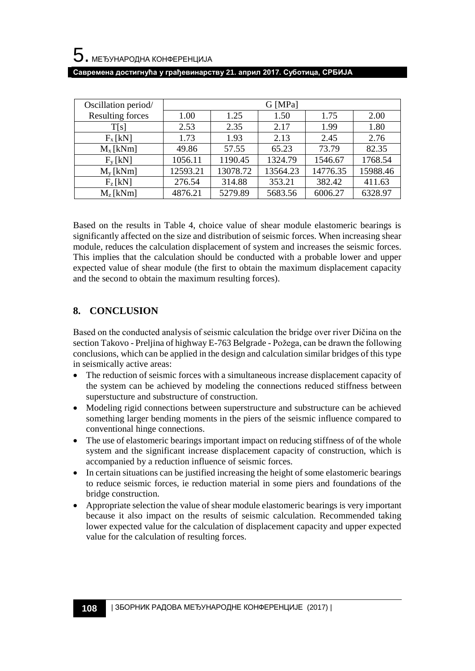| Oscillation period/ |          |          | G [MPa]  |          |          |
|---------------------|----------|----------|----------|----------|----------|
| Resulting forces    | 1.00     | 1.25     | 1.50     | 1.75     | 2.00     |
| T[s]                | 2.53     | 2.35     | 2.17     | 1.99     | 1.80     |
| $F_x$ [kN]          | 1.73     | 1.93     | 2.13     | 2.45     | 2.76     |
| $M_x$ [kNm]         | 49.86    | 57.55    | 65.23    | 73.79    | 82.35    |
| $F_v[kN]$           | 1056.11  | 1190.45  | 1324.79  | 1546.67  | 1768.54  |
| $M_v$ [kNm]         | 12593.21 | 13078.72 | 13564.23 | 14776.35 | 15988.46 |
| $F_{z}$ [kN]        | 276.54   | 314.88   | 353.21   | 382.42   | 411.63   |
| $M_z$ [kNm]         | 4876.21  | 5279.89  | 5683.56  | 6006.27  | 6328.97  |

**Савремена достигнућа у грађевинарству 21. април 2017. Суботица, СРБИЈА**

Based on the results in Table 4, choice value of shear module elastomeric bearings is significantly affected on the size and distribution of seismic forces. When increasing shear module, reduces the calculation displacement of system and increases the seismic forces. This implies that the calculation should be conducted with a probable lower and upper expected value of shear module (the first to obtain the maximum displacement capacity and the second to obtain the maximum resulting forces).

### **8. CONCLUSION**

Based on the conducted analysis of seismic calculation the bridge over river Dičina on the section Takovo - Preljina of highway E-763 Belgrade - Požega, can be drawn the following conclusions, which can be applied in the design and calculation similar bridges of this type in seismically active areas:

- The reduction of seismic forces with a simultaneous increase displacement capacity of the system can be achieved by modeling the connections reduced stiffness between superstucture and substructure of construction.
- Modeling rigid connections between superstructure and substructure can be achieved something larger bending moments in the piers of the seismic influence compared to conventional hinge connections.
- The use of elastomeric bearings important impact on reducing stiffness of of the whole system and the significant increase displacement capacity of construction, which is accompanied by a reduction influence of seismic forces.
- In certain situations can be justified increasing the height of some elastomeric bearings to reduce seismic forces, ie reduction material in some piers and foundations of the bridge construction.
- Appropriate selection the value of shear module elastomeric bearings is very important because it also impact on the results of seismic calculation. Recommended taking lower expected value for the calculation of displacement capacity and upper expected value for the calculation of resulting forces.